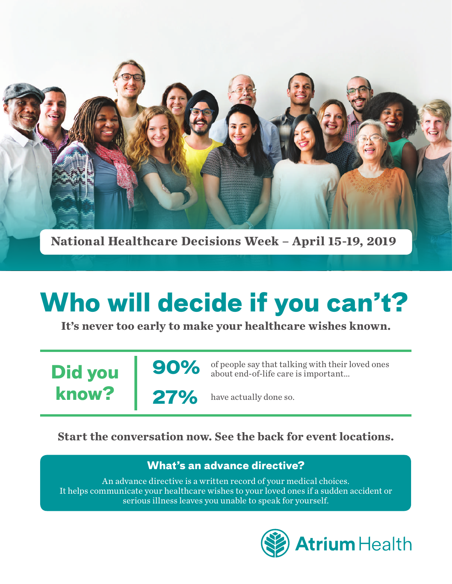

**National Healthcare Decisions Week – April 15-19, 2019**

# **Who will decide if you can't?**

**It's never too early to make your healthcare wishes known.**

**Did you know?**

**90% 27%**

of people say that talking with their loved ones about end-of-life care is important...

have actually done so.

# **Start the conversation now. See the back for event locations.**

# **What's an advance directive?**

An advance directive is a written record of your medical choices. It helps communicate your healthcare wishes to your loved ones if a sudden accident or serious illness leaves you unable to speak for yourself.